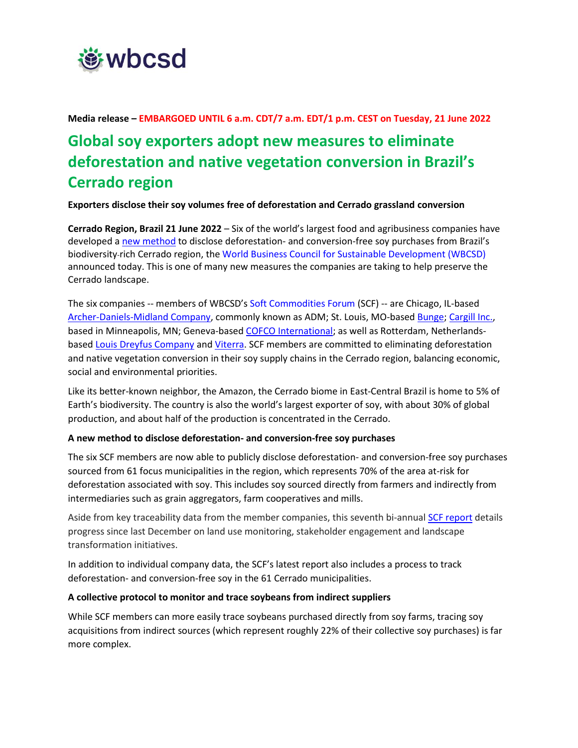

**Media release – EMBARGOED UNTIL 6 a.m. CDT/7 a.m. EDT/1 p.m. CEST on Tuesday, 21 June 2022**

# **Global soy exporters adopt new measures to eliminate deforestation and native vegetation conversion in Brazil's Cerrado region**

**Exporters disclose their soy volumes free of deforestation and Cerrado grassland conversion**

**Cerrado Region, Brazil 21 June 2022** – Six of the world's largest food and agribusiness companies have developed a [new method](https://wbcsdpublications.org/scf/) to disclose deforestation- and conversion-free soy purchases from Brazil's biodiversity-rich Cerrado region, th[e World Business Council for Sustainable Development \(WBCSD\)](https://www.wbcsd.org/) announced today. This is one of many new measures the companies are taking to help preserve the Cerrado landscape.

The six companies -- members of WBCSD's [Soft Commodities Forum](https://www.wbcsd.org/Programs/Food-and-Nature/Food-Land-Use/Soft-Commodities-Forum) (SCF) -- are Chicago, IL-based [Archer-Daniels-Midland Company,](https://www.adm.com/) commonly known as ADM; St. Louis, MO-based [Bunge;](https://www.bunge.com/) [Cargill Inc.,](https://www.cargill.com/) based in Minneapolis, MN; Geneva-base[d COFCO International;](https://www.cofcointernational.com/) as well as Rotterdam, Netherlands-based [Louis Dreyfus Company](https://www.ldc.com/) an[d Viterra.](https://www.viterra.com/) SCF members are committed to eliminating deforestation and native vegetation conversion in their soy supply chains in the Cerrado region, balancing economic, social and environmental priorities.

Like its better-known neighbor, the Amazon, the Cerrado biome in East-Central Brazil is home to 5% of Earth's biodiversity. The country is also the world's largest exporter of soy, with about 30% of global production, and about half of the production is concentrated in the Cerrado.

#### **A new method to disclose deforestation- and conversion-free soy purchases**

The six SCF members are now able to publicly disclose deforestation- and conversion-free soy purchases sourced from 61 focus municipalities in the region, which represents 70% of the area at-risk for deforestation associated with soy. This includes soy sourced directly from farmers and indirectly from intermediaries such as grain aggregators, farm cooperatives and mills.

Aside from key traceability data from the member companies, this seventh bi-annual **SCF report** details progress since last December on land use monitoring, stakeholder engagement and landscape transformation initiatives.

In addition to individual company data, the SCF's latest report also includes a process to track deforestation- and conversion-free soy in the 61 Cerrado municipalities.

#### **A collective protocol to monitor and trace soybeans from indirect suppliers**

While SCF members can more easily trace soybeans purchased directly from soy farms, tracing soy acquisitions from indirect sources (which represent roughly 22% of their collective soy purchases) is far more complex.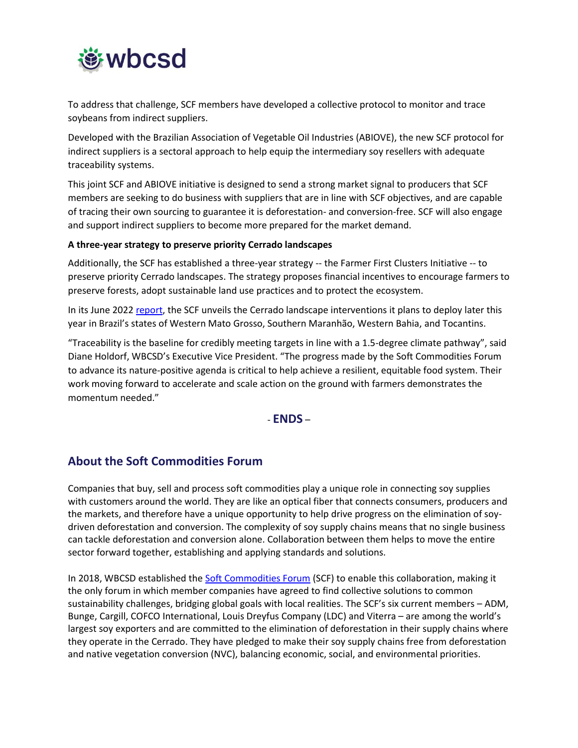

To address that challenge, SCF members have developed a collective protocol to monitor and trace soybeans from indirect suppliers.

Developed with the Brazilian Association of Vegetable Oil Industries (ABIOVE), the new SCF protocol for indirect suppliers is a sectoral approach to help equip the intermediary soy resellers with adequate traceability systems.

This joint SCF and ABIOVE initiative is designed to send a strong market signal to producers that SCF members are seeking to do business with suppliers that are in line with SCF objectives, and are capable of tracing their own sourcing to guarantee it is deforestation- and conversion-free. SCF will also engage and support indirect suppliers to become more prepared for the market demand.

#### **A three-year strategy to preserve priority Cerrado landscapes**

Additionally, the SCF has established a three-year strategy -- the Farmer First Clusters Initiative -- to preserve priority Cerrado landscapes. The strategy proposes financial incentives to encourage farmers to preserve forests, adopt sustainable land use practices and to protect the ecosystem.

In its June 2022 [report,](https://wbcsdpublications.org/scf/) the SCF unveils the Cerrado landscape interventions it plans to deploy later this year in Brazil's states of Western Mato Grosso, Southern Maranhão, Western Bahia, and Tocantins.

"Traceability is the baseline for credibly meeting targets in line with a 1.5-degree climate pathway", said Diane Holdorf, WBCSD's Executive Vice President. "The progress made by the Soft Commodities Forum to advance its nature-positive agenda is critical to help achieve a resilient, equitable food system. Their work moving forward to accelerate and scale action on the ground with farmers demonstrates the momentum needed."

### - **ENDS** –

## **About the Soft Commodities Forum**

Companies that buy, sell and process soft commodities play a unique role in connecting soy supplies with customers around the world. They are like an optical fiber that connects consumers, producers and the markets, and therefore have a unique opportunity to help drive progress on the elimination of soydriven deforestation and conversion. The complexity of soy supply chains means that no single business can tackle deforestation and conversion alone. Collaboration between them helps to move the entire sector forward together, establishing and applying standards and solutions.

In 2018, WBCSD established the **Soft Commodities Forum** (SCF) to enable this collaboration, making it the only forum in which member companies have agreed to find collective solutions to common sustainability challenges, bridging global goals with local realities. The SCF's six current members – ADM, Bunge, Cargill, COFCO International, Louis Dreyfus Company (LDC) and Viterra – are among the world's largest soy exporters and are committed to the elimination of deforestation in their supply chains where they operate in the Cerrado. They have pledged to make their soy supply chains free from deforestation and native vegetation conversion (NVC), balancing economic, social, and environmental priorities.